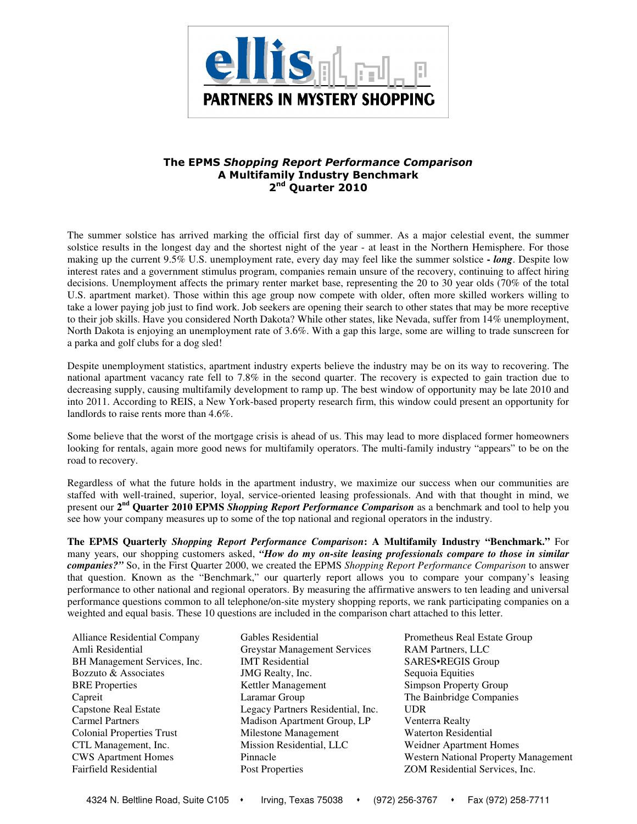

## The EPMS Shopping Report Performance Comparison A Multifamily Industry Benchmark 2<sup>nd</sup> Quarter 2010

The summer solstice has arrived marking the official first day of summer. As a major celestial event, the summer solstice results in the longest day and the shortest night of the year - at least in the Northern Hemisphere. For those making up the current 9.5% U.S. unemployment rate, every day may feel like the summer solstice **-** *long*. Despite low interest rates and a government stimulus program, companies remain unsure of the recovery, continuing to affect hiring decisions. Unemployment affects the primary renter market base, representing the 20 to 30 year olds (70% of the total U.S. apartment market). Those within this age group now compete with older, often more skilled workers willing to take a lower paying job just to find work. Job seekers are opening their search to other states that may be more receptive to their job skills. Have you considered North Dakota? While other states, like Nevada, suffer from 14% unemployment, North Dakota is enjoying an unemployment rate of 3.6%. With a gap this large, some are willing to trade sunscreen for a parka and golf clubs for a dog sled!

Despite unemployment statistics, apartment industry experts believe the industry may be on its way to recovering. The national apartment vacancy rate fell to 7.8% in the second quarter. The recovery is expected to gain traction due to decreasing supply, causing multifamily development to ramp up. The best window of opportunity may be late 2010 and into 2011. According to REIS, a New York-based property research firm, this window could present an opportunity for landlords to raise rents more than 4.6%.

Some believe that the worst of the mortgage crisis is ahead of us. This may lead to more displaced former homeowners looking for rentals, again more good news for multifamily operators. The multi-family industry "appears" to be on the road to recovery.

Regardless of what the future holds in the apartment industry, we maximize our success when our communities are staffed with well-trained, superior, loyal, service-oriented leasing professionals. And with that thought in mind, we present our **2nd Quarter 2010 EPMS** *Shopping Report Performance Comparison* as a benchmark and tool to help you see how your company measures up to some of the top national and regional operators in the industry.

**The EPMS Quarterly** *Shopping Report Performance Comparison***: A Multifamily Industry "Benchmark."** For many years, our shopping customers asked, *"How do my on-site leasing professionals compare to those in similar companies?"* So, in the First Quarter 2000, we created the EPMS *Shopping Report Performance Comparison* to answer that question. Known as the "Benchmark," our quarterly report allows you to compare your company's leasing performance to other national and regional operators. By measuring the affirmative answers to ten leading and universal performance questions common to all telephone/on-site mystery shopping reports, we rank participating companies on a weighted and equal basis. These 10 questions are included in the comparison chart attached to this letter.

- 
- Alliance Residential Company Gables Residential Prometheus Real Estate Group Amli Residential Greystar Management Services RAM Partners, LLC BH Management Services, Inc. **IMT Residential SARES•REGIS Group** Bozzuto & Associates **IMG Realty, Inc.** Sequoia Equities BRE Properties Kettler Management Simpson Property Group Capreit Laramar Group The Bainbridge Companies Capstone Real Estate Legacy Partners Residential, Inc. UDR Madison Apartment Group, LP Venterra Realty Colonial Properties Trust Milestone Management Waterton Residential CTL Management, Inc. Mission Residential, LLC Weidner Apartment Homes Fairfield Residential Post Properties ZOM Residential Services, Inc.
- CWS Apartment Homes Pinnacle Western National Property Management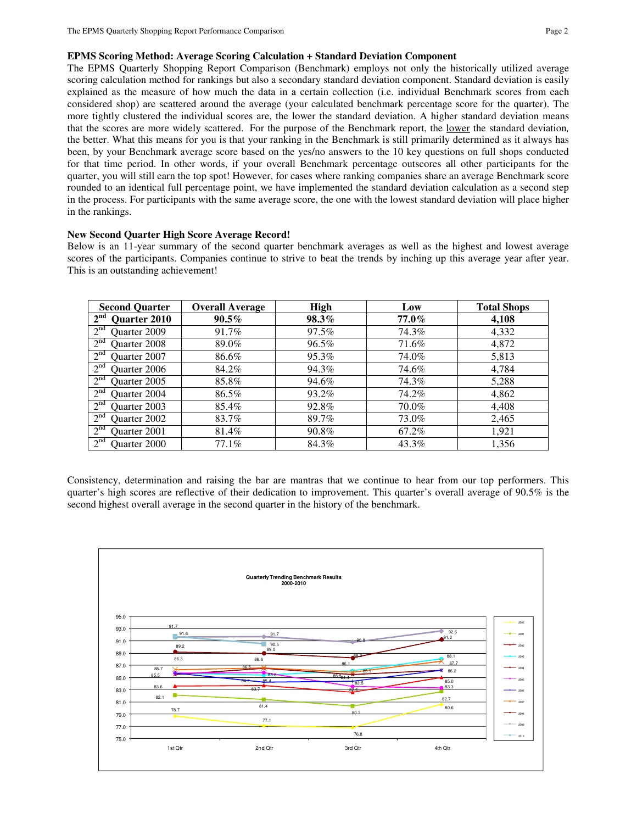The EPMS Quarterly Shopping Report Comparison (Benchmark) employs not only the historically utilized average scoring calculation method for rankings but also a secondary standard deviation component. Standard deviation is easily explained as the measure of how much the data in a certain collection (i.e. individual Benchmark scores from each considered shop) are scattered around the average (your calculated benchmark percentage score for the quarter). The more tightly clustered the individual scores are, the lower the standard deviation. A higher standard deviation means that the scores are more widely scattered. For the purpose of the Benchmark report, the lower the standard deviation*,* the better. What this means for you is that your ranking in the Benchmark is still primarily determined as it always has been, by your Benchmark average score based on the yes/no answers to the 10 key questions on full shops conducted for that time period. In other words, if your overall Benchmark percentage outscores all other participants for the quarter, you will still earn the top spot! However, for cases where ranking companies share an average Benchmark score rounded to an identical full percentage point, we have implemented the standard deviation calculation as a second step in the process. For participants with the same average score, the one with the lowest standard deviation will place higher in the rankings.

## **New Second Quarter High Score Average Record!**

Below is an 11-year summary of the second quarter benchmark averages as well as the highest and lowest average scores of the participants. Companies continue to strive to beat the trends by inching up this average year after year. This is an outstanding achievement!

| <b>Second Quarter</b>           | <b>Overall Average</b> | <b>High</b> | Low      | <b>Total Shops</b> |
|---------------------------------|------------------------|-------------|----------|--------------------|
| 2 <sup>nd</sup><br>Quarter 2010 | $90.5\%$               | 98.3%       | $77.0\%$ | 4,108              |
| 2 <sup>nd</sup><br>Quarter 2009 | 91.7%                  | 97.5%       | 74.3%    | 4,332              |
| 2 <sup>nd</sup><br>Quarter 2008 | 89.0%                  | 96.5%       | 71.6%    | 4,872              |
| 2 <sup>nd</sup><br>Ouarter 2007 | 86.6%                  | 95.3%       | 74.0%    | 5,813              |
| 2 <sup>nd</sup><br>Quarter 2006 | 84.2%                  | 94.3%       | 74.6%    | 4,784              |
| 2 <sup>nd</sup><br>Quarter 2005 | 85.8%                  | 94.6%       | 74.3%    | 5,288              |
| 2 <sup>nd</sup><br>Quarter 2004 | 86.5%                  | 93.2%       | 74.2%    | 4,862              |
| 2 <sup>nd</sup><br>Quarter 2003 | 85.4%                  | 92.8%       | 70.0%    | 4,408              |
| 2 <sup>nd</sup><br>Quarter 2002 | 83.7%                  | 89.7%       | 73.0%    | 2,465              |
| 2 <sup>nd</sup><br>Quarter 2001 | 81.4%                  | 90.8%       | 67.2%    | 1,921              |
| $2^{nd}$<br>Quarter 2000        | 77.1%                  | 84.3%       | 43.3%    | 1,356              |

Consistency, determination and raising the bar are mantras that we continue to hear from our top performers. This quarter's high scores are reflective of their dedication to improvement. This quarter's overall average of 90.5% is the second highest overall average in the second quarter in the history of the benchmark.

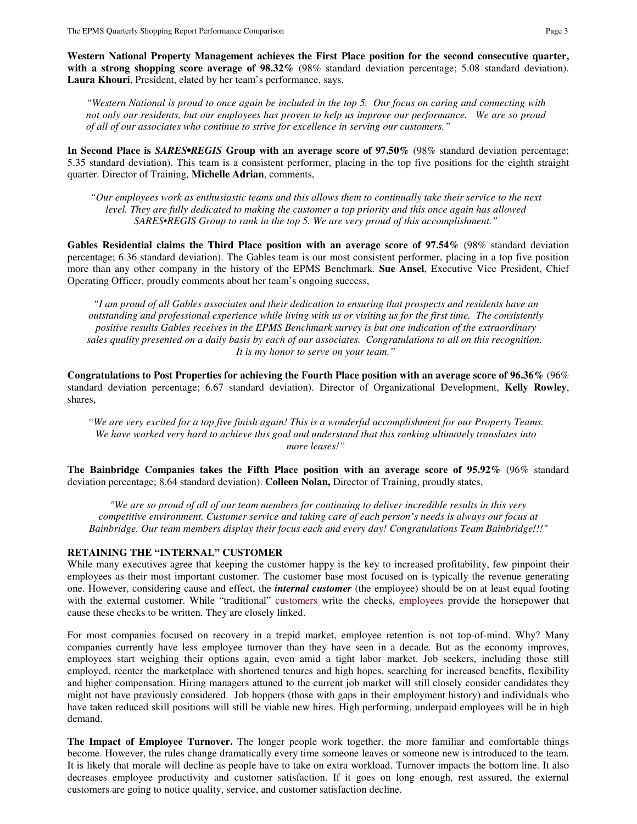**Western National Property Management achieves the First Place position for the second consecutive quarter, with a strong shopping score average of 98.32%** (98% standard deviation percentage; 5.08 standard deviation). **Laura Khouri**, President, elated by her team's performance, says,

*"Western National is proud to once again be included in the top 5. Our focus on caring and connecting with not only our residents, but our employees has proven to help us improve our performance. We are so proud of all of our associates who continue to strive for excellence in serving our customers."* 

**In Second Place is** *SARES•REGIS* **Group with an average score of 97.50%** (98% standard deviation percentage; 5.35 standard deviation). This team is a consistent performer, placing in the top five positions for the eighth straight quarter. Director of Training, **Michelle Adrian**, comments,

*"Our employees work as enthusiastic teams and this allows them to continually take their service to the next level. They are fully dedicated to making the customer a top priority and this once again has allowed SARES•REGIS Group to rank in the top 5. We are very proud of this accomplishment."*

**Gables Residential claims the Third Place position with an average score of 97.54%** (98% standard deviation percentage; 6.36 standard deviation). The Gables team is our most consistent performer, placing in a top five position more than any other company in the history of the EPMS Benchmark. **Sue Ansel**, Executive Vice President, Chief Operating Officer, proudly comments about her team's ongoing success,

*"I am proud of all Gables associates and their dedication to ensuring that prospects and residents have an outstanding and professional experience while living with us or visiting us for the first time. The consistently positive results Gables receives in the EPMS Benchmark survey is but one indication of the extraordinary sales quality presented on a daily basis by each of our associates. Congratulations to all on this recognition. It is my honor to serve on your team."*

**Congratulations to Post Properties for achieving the Fourth Place position with an average score of 96.36%** (96% standard deviation percentage; 6.67 standard deviation). Director of Organizational Development, **Kelly Rowley**, shares,

*"We are very excited for a top five finish again! This is a wonderful accomplishment for our Property Teams. We have worked very hard to achieve this goal and understand that this ranking ultimately translates into more leases!"* 

**The Bainbridge Companies takes the Fifth Place position with an average score of 95.92%** (96% standard deviation percentage; 8.64 standard deviation). **Colleen Nolan,** Director of Training, proudly states,

*"We are so proud of all of our team members for continuing to deliver incredible results in this very competitive environment. Customer service and taking care of each person's needs is always our focus at Bainbridge. Our team members display their focus each and every day! Congratulations Team Bainbridge!!!"* 

## **RETAINING THE "INTERNAL" CUSTOMER**

While many executives agree that keeping the customer happy is the key to increased profitability, few pinpoint their employees as their most important customer. The customer base most focused on is typically the revenue generating one. However, considering cause and effect, the *internal customer* (the employee) should be on at least equal footing with the external customer. While "traditional" customers write the checks, employees provide the horsepower that cause these checks to be written. They are closely linked.

For most companies focused on recovery in a trepid market, employee retention is not top-of-mind. Why? Many companies currently have less employee turnover than they have seen in a decade. But as the economy improves, employees start weighing their options again, even amid a tight labor market. Job seekers, including those still employed, reenter the marketplace with shortened tenures and high hopes, searching for increased benefits, flexibility and higher compensation. Hiring managers attuned to the current job market will still closely consider candidates they might not have previously considered. Job hoppers (those with gaps in their employment history) and individuals who have taken reduced skill positions will still be viable new hires. High performing, underpaid employees will be in high demand.

**The Impact of Employee Turnover.** The longer people work together, the more familiar and comfortable things become. However, the rules change dramatically every time someone leaves or someone new is introduced to the team. It is likely that morale will decline as people have to take on extra workload. Turnover impacts the bottom line. It also decreases employee productivity and customer satisfaction. If it goes on long enough, rest assured, the external customers are going to notice quality, service, and customer satisfaction decline.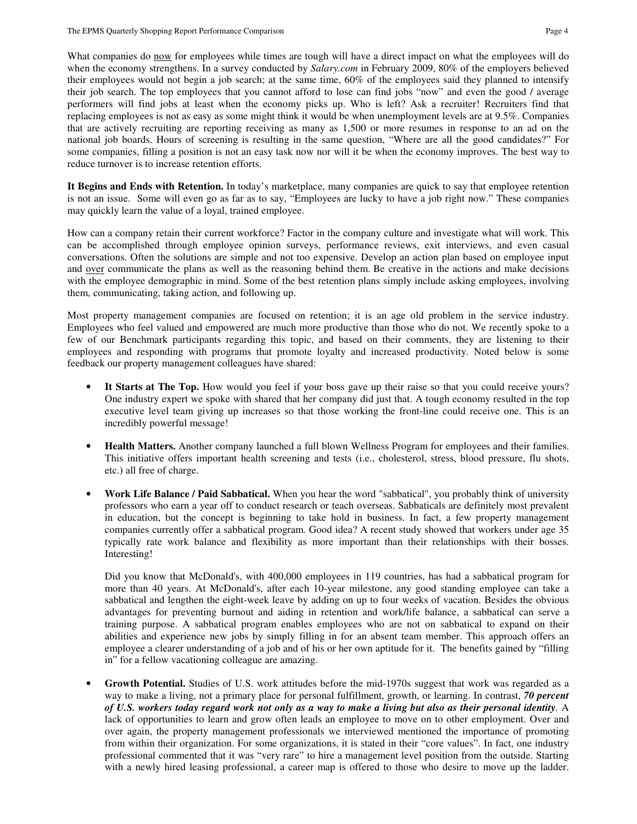What companies do now for employees while times are tough will have a direct impact on what the employees will do when the economy strengthens. In a survey conducted by *Salary.com* in February 2009, 80% of the employers believed their employees would not begin a job search; at the same time, 60% of the employees said they planned to intensify their job search. The top employees that you cannot afford to lose can find jobs "now" and even the good / average performers will find jobs at least when the economy picks up. Who is left? Ask a recruiter! Recruiters find that replacing employees is not as easy as some might think it would be when unemployment levels are at 9.5%. Companies that are actively recruiting are reporting receiving as many as 1,500 or more resumes in response to an ad on the national job boards. Hours of screening is resulting in the same question, "Where are all the good candidates?" For some companies, filling a position is not an easy task now nor will it be when the economy improves. The best way to reduce turnover is to increase retention efforts.

**It Begins and Ends with Retention.** In today's marketplace, many companies are quick to say that employee retention is not an issue. Some will even go as far as to say, "Employees are lucky to have a job right now." These companies may quickly learn the value of a loyal, trained employee.

How can a company retain their current workforce? Factor in the company culture and investigate what will work. This can be accomplished through employee opinion surveys, performance reviews, exit interviews, and even casual conversations. Often the solutions are simple and not too expensive. Develop an action plan based on employee input and <u>over</u> communicate the plans as well as the reasoning behind them. Be creative in the actions and make decisions with the employee demographic in mind. Some of the best retention plans simply include asking employees, involving them, communicating, taking action, and following up.

Most property management companies are focused on retention; it is an age old problem in the service industry. Employees who feel valued and empowered are much more productive than those who do not. We recently spoke to a few of our Benchmark participants regarding this topic, and based on their comments, they are listening to their employees and responding with programs that promote loyalty and increased productivity. Noted below is some feedback our property management colleagues have shared:

- It Starts at The Top. How would you feel if your boss gave up their raise so that you could receive yours? One industry expert we spoke with shared that her company did just that. A tough economy resulted in the top executive level team giving up increases so that those working the front-line could receive one. This is an incredibly powerful message!
- **Health Matters.** Another company launched a full blown Wellness Program for employees and their families. This initiative offers important health screening and tests (i.e., cholesterol, stress, blood pressure, flu shots, etc.) all free of charge.
- **Work Life Balance / Paid Sabbatical.** When you hear the word "sabbatical", you probably think of university professors who earn a year off to conduct research or teach overseas. Sabbaticals are definitely most prevalent in education, but the concept is beginning to take hold in business. In fact, a few property management companies currently offer a sabbatical program. Good idea? A recent study showed that workers under age 35 typically rate work balance and flexibility as more important than their relationships with their bosses. Interesting!

Did you know that McDonald's, with 400,000 employees in 119 countries, has had a sabbatical program for more than 40 years. At McDonald's, after each 10-year milestone, any good standing employee can take a sabbatical and lengthen the eight-week leave by adding on up to four weeks of vacation. Besides the obvious advantages for preventing burnout and aiding in retention and work/life balance, a sabbatical can serve a training purpose. A sabbatical program enables employees who are not on sabbatical to expand on their abilities and experience new jobs by simply filling in for an absent team member. This approach offers an employee a clearer understanding of a job and of his or her own aptitude for it. The benefits gained by "filling in" for a fellow vacationing colleague are amazing.

• **Growth Potential.** Studies of U.S. work attitudes before the mid-1970s suggest that work was regarded as a way to make a living, not a primary place for personal fulfillment, growth, or learning. In contrast, *70 percent of U.S. workers today regard work not only as a way to make a living but also as their personal identity.* A lack of opportunities to learn and grow often leads an employee to move on to other employment. Over and over again, the property management professionals we interviewed mentioned the importance of promoting from within their organization. For some organizations, it is stated in their "core values". In fact, one industry professional commented that it was "very rare" to hire a management level position from the outside. Starting with a newly hired leasing professional, a career map is offered to those who desire to move up the ladder.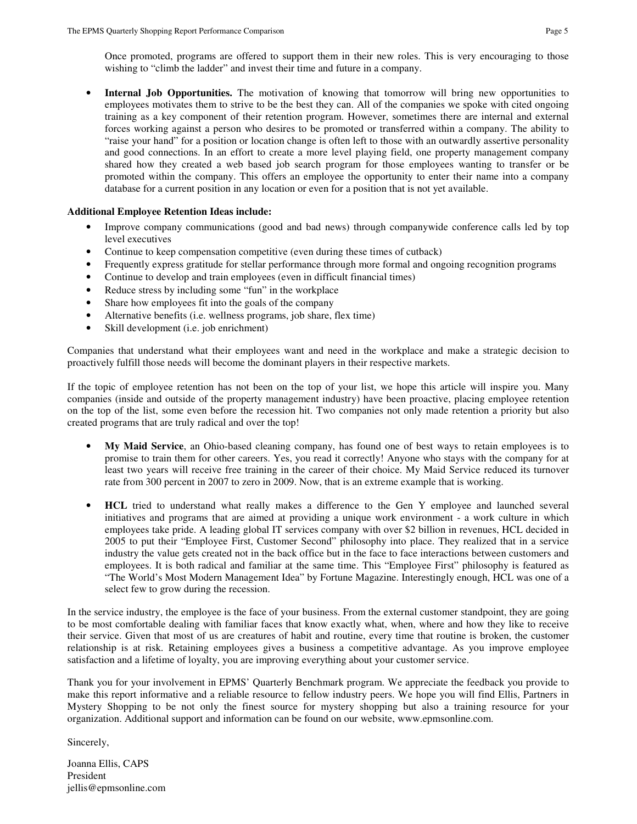Once promoted, programs are offered to support them in their new roles. This is very encouraging to those wishing to "climb the ladder" and invest their time and future in a company.

• **Internal Job Opportunities.** The motivation of knowing that tomorrow will bring new opportunities to employees motivates them to strive to be the best they can. All of the companies we spoke with cited ongoing training as a key component of their retention program. However, sometimes there are internal and external forces working against a person who desires to be promoted or transferred within a company. The ability to "raise your hand" for a position or location change is often left to those with an outwardly assertive personality and good connections. In an effort to create a more level playing field, one property management company shared how they created a web based job search program for those employees wanting to transfer or be promoted within the company. This offers an employee the opportunity to enter their name into a company database for a current position in any location or even for a position that is not yet available.

## **Additional Employee Retention Ideas include:**

- Improve company communications (good and bad news) through companywide conference calls led by top level executives
- Continue to keep compensation competitive (even during these times of cutback)
- Frequently express gratitude for stellar performance through more formal and ongoing recognition programs
- Continue to develop and train employees (even in difficult financial times)
- Reduce stress by including some "fun" in the workplace
- Share how employees fit into the goals of the company
- Alternative benefits (i.e. wellness programs, job share, flex time)
- Skill development (i.e. job enrichment)

Companies that understand what their employees want and need in the workplace and make a strategic decision to proactively fulfill those needs will become the dominant players in their respective markets.

If the topic of employee retention has not been on the top of your list, we hope this article will inspire you. Many companies (inside and outside of the property management industry) have been proactive, placing employee retention on the top of the list, some even before the recession hit. Two companies not only made retention a priority but also created programs that are truly radical and over the top!

- My Maid Service, an Ohio-based cleaning company, has found one of best ways to retain employees is to promise to train them for other careers. Yes, you read it correctly! Anyone who stays with the company for at least two years will receive free training in the career of their choice. My Maid Service reduced its turnover rate from 300 percent in 2007 to zero in 2009. Now, that is an extreme example that is working.
- **HCL** tried to understand what really makes a difference to the Gen Y employee and launched several initiatives and programs that are aimed at providing a unique work environment - a work culture in which employees take pride. A leading global IT services company with over \$2 billion in revenues, HCL decided in 2005 to put their "Employee First, Customer Second" philosophy into place. They realized that in a service industry the value gets created not in the back office but in the face to face interactions between customers and employees. It is both radical and familiar at the same time. This "Employee First" philosophy is featured as "The World's Most Modern Management Idea" by Fortune Magazine. Interestingly enough, HCL was one of a select few to grow during the recession.

In the service industry, the employee is the face of your business. From the external customer standpoint, they are going to be most comfortable dealing with familiar faces that know exactly what, when, where and how they like to receive their service. Given that most of us are creatures of habit and routine, every time that routine is broken, the customer relationship is at risk. Retaining employees gives a business a competitive advantage. As you improve employee satisfaction and a lifetime of loyalty, you are improving everything about your customer service.

Thank you for your involvement in EPMS' Quarterly Benchmark program. We appreciate the feedback you provide to make this report informative and a reliable resource to fellow industry peers. We hope you will find Ellis, Partners in Mystery Shopping to be not only the finest source for mystery shopping but also a training resource for your organization. Additional support and information can be found on our website, www.epmsonline.com.

Sincerely,

Joanna Ellis, CAPS President jellis@epmsonline.com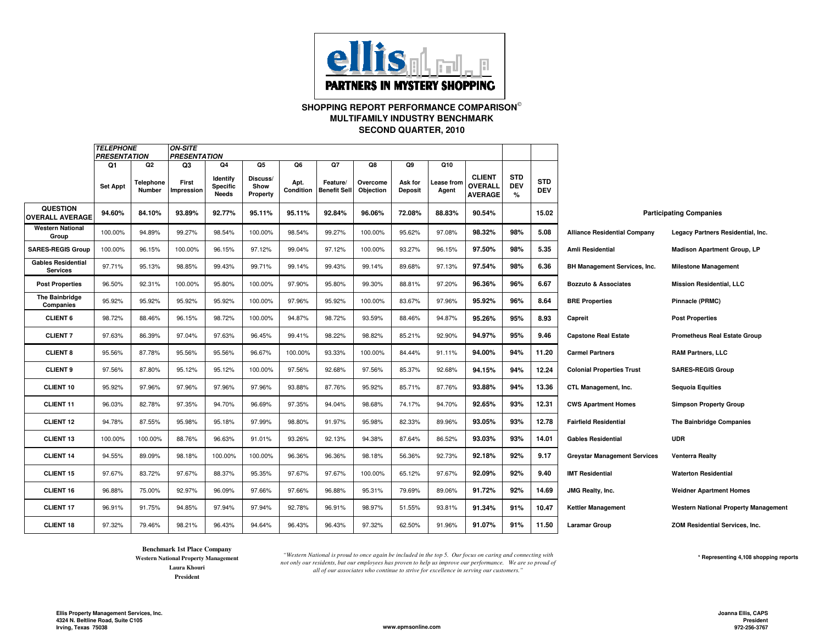

**SHOPPING REPORT PERFORMANCE COMPARISON SECOND QUARTER, 2010MULTIFAMILY INDUSTRY BENCHMARK**

|                                              | <i><b>TELEPHONE</b></i><br><b>PRESENTATION</b> |                           | ON-SITE<br><b>PRESENTATION</b> |                                            |                                    |                         |                                       |                             |                                 |                           |                                            |                                  |                          |                                     |                                             |
|----------------------------------------------|------------------------------------------------|---------------------------|--------------------------------|--------------------------------------------|------------------------------------|-------------------------|---------------------------------------|-----------------------------|---------------------------------|---------------------------|--------------------------------------------|----------------------------------|--------------------------|-------------------------------------|---------------------------------------------|
|                                              | Q1<br><b>Set Appt</b>                          | Q2<br>Telephone<br>Number | Q3<br>First<br>Impression      | Q4<br>Identify<br><b>Specific</b><br>Needs | Q5<br>Discuss/<br>Show<br>Property | Q6<br>Apt.<br>Condition | Q7<br>Feature/<br><b>Benefit Sell</b> | Q8<br>Overcome<br>Objection | Q9<br>Ask for<br><b>Deposit</b> | Q10<br>ease from<br>Agent | <b>CLIENT</b><br>OVERALL<br><b>AVERAGE</b> | <b>STD</b><br><b>DEV</b><br>$\%$ | <b>STD</b><br><b>DEV</b> |                                     |                                             |
| <b>QUESTION</b><br><b>OVERALL AVERAGE</b>    | 94.60%                                         | 84.10%                    | 93.89%                         | 92.77%                                     | 95.11%                             | 95.11%                  | 92.84%                                | 96.06%                      | 72.08%                          | 88.83%                    | 90.54%                                     |                                  | 15.02                    | <b>Participating Companies</b>      |                                             |
| <b>Western National</b><br>Group             | 100.00%                                        | 94.89%                    | 99.27%                         | 98.54%                                     | 100.00%                            | 98.54%                  | 99.27%                                | 100.00%                     | 95.62%                          | 97.08%                    | 98.32%                                     | 98%                              | 5.08                     | <b>Alliance Residential Company</b> | Legacy Partners Residential, Inc.           |
| <b>SARES-REGIS Group</b>                     | 100.00%                                        | 96.15%                    | 100.00%                        | 96.15%                                     | 97.12%                             | 99.04%                  | 97.12%                                | 100.00%                     | 93.27%                          | 96.15%                    | 97.50%                                     | 98%                              | 5.35                     | Amli Residential                    | <b>Madison Apartment Group, LP</b>          |
| <b>Gables Residential</b><br><b>Services</b> | 97.71%                                         | 95.13%                    | 98.85%                         | 99.43%                                     | 99.71%                             | 99.14%                  | 99.43%                                | 99.14%                      | 89.68%                          | 97.13%                    | 97.54%                                     | 98%                              | 6.36                     | BH Management Services, Inc.        | <b>Milestone Management</b>                 |
| <b>Post Properties</b>                       | 96.50%                                         | 92.31%                    | 100.00%                        | 95.80%                                     | 100.00%                            | 97.90%                  | 95.80%                                | 99.30%                      | 88.81%                          | 97.20%                    | 96.36%                                     | 96%                              | 6.67                     | <b>Bozzuto &amp; Associates</b>     | <b>Mission Residential, LLC</b>             |
| The Bainbridge<br>Companies                  | 95.92%                                         | 95.92%                    | 95.92%                         | 95.92%                                     | 100.00%                            | 97.96%                  | 95.92%                                | 100.00%                     | 83.67%                          | 97.96%                    | 95.92%                                     | 96%                              | 8.64                     | <b>BRE Properties</b>               | Pinnacle (PRMC)                             |
| <b>CLIENT 6</b>                              | 98.72%                                         | 88.46%                    | 96.15%                         | 98.72%                                     | 100.00%                            | 94.87%                  | 98.72%                                | 93.59%                      | 88.46%                          | 94.87%                    | 95.26%                                     | 95%                              | 8.93                     | Capreit                             | <b>Post Properties</b>                      |
| <b>CLIENT 7</b>                              | 97.63%                                         | 86.39%                    | 97.04%                         | 97.63%                                     | 96.45%                             | 99.41%                  | 98.22%                                | 98.82%                      | 85.21%                          | 92.90%                    | 94.97%                                     | 95%                              | 9.46                     | <b>Capstone Real Estate</b>         | <b>Prometheus Real Estate Group</b>         |
| <b>CLIENT 8</b>                              | 95.56%                                         | 87.78%                    | 95.56%                         | 95.56%                                     | 96.67%                             | 100.00%                 | 93.33%                                | 100.00%                     | 84.44%                          | 91.11%                    | 94.00%                                     | 94%                              | 11.20                    | <b>Carmel Partners</b>              | <b>RAM Partners, LLC</b>                    |
| <b>CLIENT 9</b>                              | 97.56%                                         | 87.80%                    | 95.12%                         | 95.12%                                     | 100.00%                            | 97.56%                  | 92.68%                                | 97.56%                      | 85.37%                          | 92.68%                    | 94.15%                                     | 94%                              | 12.24                    | <b>Colonial Properties Trust</b>    | <b>SARES-REGIS Group</b>                    |
| <b>CLIENT 10</b>                             | 95.92%                                         | 97.96%                    | 97.96%                         | 97.96%                                     | 97.96%                             | 93.88%                  | 87.76%                                | 95.92%                      | 85.71%                          | 87.76%                    | 93.88%                                     | 94%                              | 13.36                    | CTL Management, Inc.                | <b>Sequoia Equities</b>                     |
| <b>CLIENT 11</b>                             | 96.03%                                         | 82.78%                    | 97.35%                         | 94.70%                                     | 96.69%                             | 97.35%                  | 94.04%                                | 98.68%                      | 74.17%                          | 94.70%                    | 92.65%                                     | 93%                              | 12.31                    | <b>CWS Apartment Homes</b>          | <b>Simpson Property Group</b>               |
| <b>CLIENT 12</b>                             | 94.78%                                         | 87.55%                    | 95.98%                         | 95.18%                                     | 97.99%                             | 98.80%                  | 91.97%                                | 95.98%                      | 82.33%                          | 89.96%                    | 93.05%                                     | 93%                              | 12.78                    | <b>Fairfield Residential</b>        | The Bainbridge Companies                    |
| <b>CLIENT 13</b>                             | 100.00%                                        | 100.00%                   | 88.76%                         | 96.63%                                     | 91.01%                             | 93.26%                  | 92.13%                                | 94.38%                      | 87.64%                          | 86.52%                    | 93.03%                                     | 93%                              | 14.01                    | <b>Gables Residential</b>           | <b>UDR</b>                                  |
| <b>CLIENT 14</b>                             | 94.55%                                         | 89.09%                    | 98.18%                         | 100.00%                                    | 100.00%                            | 96.36%                  | 96.36%                                | 98.18%                      | 56.36%                          | 92.73%                    | 92.18%                                     | 92%                              | 9.17                     | <b>Greystar Management Services</b> | <b>Venterra Realty</b>                      |
| <b>CLIENT 15</b>                             | 97.67%                                         | 83.72%                    | 97.67%                         | 88.37%                                     | 95.35%                             | 97.67%                  | 97.67%                                | 100.00%                     | 65.12%                          | 97.67%                    | 92.09%                                     | 92%                              | 9.40                     | <b>IMT Residential</b>              | <b>Waterton Residential</b>                 |
| <b>CLIENT 16</b>                             | 96.88%                                         | 75.00%                    | 92.97%                         | 96.09%                                     | 97.66%                             | 97.66%                  | 96.88%                                | 95.31%                      | 79.69%                          | 89.06%                    | 91.72%                                     | 92%                              | 14.69                    | JMG Realty, Inc.                    | <b>Weidner Apartment Homes</b>              |
| <b>CLIENT 17</b>                             | 96.91%                                         | 91.75%                    | 94.85%                         | 97.94%                                     | 97.94%                             | 92.78%                  | 96.91%                                | 98.97%                      | 51.55%                          | 93.81%                    | 91.34%                                     | 91%                              | 10.47                    | <b>Kettler Management</b>           | <b>Western National Property Management</b> |
| <b>CLIENT 18</b>                             | 97.32%                                         | 79.46%                    | 98.21%                         | 96.43%                                     | 94.64%                             | 96.43%                  | 96.43%                                | 97.32%                      | 62.50%                          | 91.96%                    | 91.07%                                     | 91%                              | 11.50                    | <b>Laramar Group</b>                | ZOM Residential Services, Inc.              |

**Benchmark 1st Place Company**

 **Western National Property ManagementLaura KhouriPresident**

 *"Western National is proud to once again be included in the top 5. Our focus on caring and connecting with not only our residents, but our employees has proven to help us improve our performance. We are so proud of all of our associates who continue to strive for excellence in serving our customers."*

**\* Representing 4,108 shopping reports**